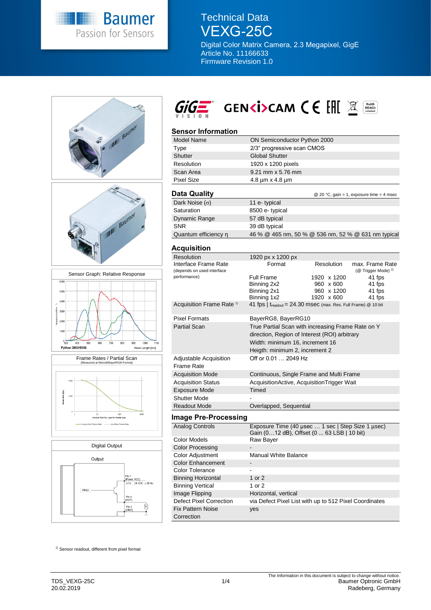

Technical Data VEXG-25C

Digital Color Matrix Camera, 2.3 Megapixel, GigE Article No. 11166633 Firmware Revision 1.0





## **Sensor Information**

| <b>Model Name</b>                                  | ON Semiconductor Python 2000                        |               |                                                   |  |
|----------------------------------------------------|-----------------------------------------------------|---------------|---------------------------------------------------|--|
| Type                                               | 2/3" progressive scan CMOS                          |               |                                                   |  |
| <b>Shutter</b>                                     | <b>Global Shutter</b>                               |               |                                                   |  |
| Resolution                                         | 1920 x 1200 pixels                                  |               |                                                   |  |
| Scan Area                                          | 9.21 mm x 5.76 mm                                   |               |                                                   |  |
| <b>Pixel Size</b>                                  | $4.8 \mu m \times 4.8 \mu m$                        |               |                                                   |  |
|                                                    |                                                     |               |                                                   |  |
| Data Quality                                       |                                                     |               | @ 20 °C, gain = 1, exposure time = 4 msec         |  |
| Dark Noise $(\sigma)$                              | 11 e-typical                                        |               |                                                   |  |
| Saturation                                         | 8500 e- typical                                     |               |                                                   |  |
| Dynamic Range                                      | 57 dB typical                                       |               |                                                   |  |
| <b>SNR</b>                                         | 39 dB typical                                       |               |                                                   |  |
| Quantum efficiency n                               | 46 % @ 465 nm, 50 % @ 536 nm, 52 % @ 631 nm typical |               |                                                   |  |
|                                                    |                                                     |               |                                                   |  |
| Acquisition                                        |                                                     |               |                                                   |  |
| <b>Resolution</b>                                  | 1920 px x 1200 px                                   |               |                                                   |  |
| Interface Frame Rate<br>(depends on used interface | Format                                              | Resolution    | max. Frame Rate<br>(@ Trigger Mode) <sup>2)</sup> |  |
| performance)                                       | Full Frame                                          | 41 fps        |                                                   |  |
|                                                    | Binning 2x2                                         | x 600<br>960  | 41 fps                                            |  |
|                                                    | Binning 2x1                                         | x 1200<br>960 | 41 fps                                            |  |
|                                                    | Binning 1x2                                         | 1920 x 600    | 41 fps                                            |  |

| Acquisition Frame Rate <sup>1)</sup> | 41 fps   $t_{\text{readout}}$ = 24.30 msec (max. Res. Full Frame) @ 10 bit                                                                                              |
|--------------------------------------|-------------------------------------------------------------------------------------------------------------------------------------------------------------------------|
| <b>Pixel Formats</b>                 | BayerRG8, BayerRG10                                                                                                                                                     |
| <b>Partial Scan</b>                  | True Partial Scan with increasing Frame Rate on Y<br>direction, Region of Interest (ROI) arbitrary<br>Width: minimum 16, increment 16<br>Heigth: minimum 2, increment 2 |
| Adjustable Acquisition<br>Frame Rate | Off or 0.01  2049 Hz                                                                                                                                                    |
| <b>Acquisition Mode</b>              | Continuous, Single Frame and Multi Frame                                                                                                                                |
| <b>Acquisition Status</b>            | AcquisitionActive, AcquisitionTrigger Wait                                                                                                                              |
| <b>Exposure Mode</b>                 | Timed                                                                                                                                                                   |
| <b>Shutter Mode</b>                  |                                                                                                                                                                         |
| <b>Readout Mode</b>                  | Overlapped, Sequential                                                                                                                                                  |

#### **Image Pre-Processing**

| Analog Controls           | Exposure Time (40 usec  1 sec   Step Size 1 usec)<br>Gain (012 dB), Offset (0 63 LSB   10 bit) |
|---------------------------|------------------------------------------------------------------------------------------------|
| Color Models              | Raw Bayer                                                                                      |
| <b>Color Processing</b>   |                                                                                                |
| <b>Color Adjustment</b>   | <b>Manual White Balance</b>                                                                    |
| <b>Color Enhancement</b>  |                                                                                                |
| Color Tolerance           |                                                                                                |
| <b>Binning Horizontal</b> | 1 or $2$                                                                                       |
| <b>Binning Vertical</b>   | 1 or 2                                                                                         |
| Image Flipping            | Horizontal, vertical                                                                           |
| Defect Pixel Correction   | via Defect Pixel List with up to 512 Pixel Coordinates                                         |
| <b>Fix Pattern Noise</b>  | yes                                                                                            |
| Correction                |                                                                                                |

<sup>1)</sup> Sensor readout, different from pixel format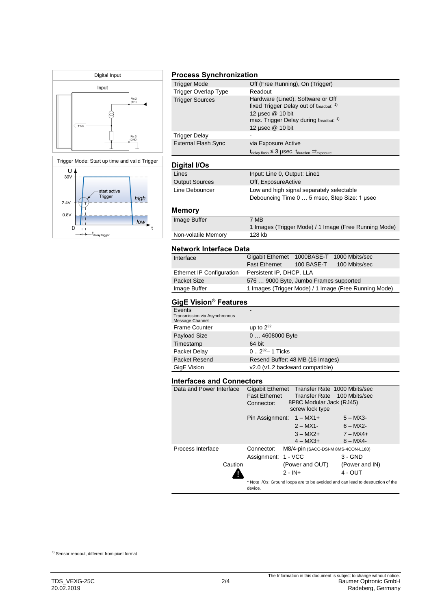



t<br>'delav trigger

## **Process Synchronization**

| <b>Trigger Mode</b>        | Off (Free Running), On (Trigger)                                                  |
|----------------------------|-----------------------------------------------------------------------------------|
| Trigger Overlap Type       | Readout                                                                           |
| <b>Trigger Sources</b>     | Hardware (Line0), Software or Off                                                 |
|                            | fixed Trigger Delay out of treadout: 1)                                           |
|                            | 12 usec @ 10 bit                                                                  |
|                            | max. Trigger Delay during treadout. <sup>1)</sup>                                 |
|                            | 12 µsec @ 10 bit                                                                  |
| Trigger Delay              |                                                                                   |
| <b>External Flash Sync</b> | via Exposure Active                                                               |
|                            | $t_{\text{delay flash}} \leq 3$ µSeC, $t_{\text{duration}} = t_{\text{exposure}}$ |
|                            |                                                                                   |
| Digital I/Os               |                                                                                   |
| Lines                      | Input: Line 0, Output: Line1                                                      |
| <b>Output Sources</b>      | Off, ExposureActive                                                               |
| Line Debouncer             | Low and high signal separately selectable                                         |
|                            | Debouncing Time 0  5 msec, Step Size: 1 usec                                      |
| Memory                     |                                                                                   |
|                            | 7 MB                                                                              |
| Image Buffer               |                                                                                   |
|                            | 1 Images (Trigger Mode) / 1 Image (Free Running Mode)                             |
| Non-volatile Memory        | 128 kb                                                                            |
|                            |                                                                                   |

#### **Network Interface Data**

| Interface                        | Gigabit Ethernet 1000BASE-T 1000 Mbits/sec |            |                                                       |
|----------------------------------|--------------------------------------------|------------|-------------------------------------------------------|
|                                  | <b>Fast Ethernet</b>                       | 100 BASE-T | 100 Mbits/sec                                         |
| <b>Ethernet IP Configuration</b> | Persistent IP, DHCP, LLA                   |            |                                                       |
| Packet Size                      | 576  9000 Byte, Jumbo Frames supported     |            |                                                       |
| Image Buffer                     |                                            |            | 1 Images (Trigger Mode) / 1 Image (Free Running Mode) |
|                                  |                                            |            |                                                       |

# **GigE Vision® Features**

| Events<br>Transmission via Asynchronous<br>Message Channel |                                  |
|------------------------------------------------------------|----------------------------------|
| <b>Frame Counter</b>                                       | up to $2^{32}$                   |
| Payload Size                                               | $04608000$ Byte                  |
| Timestamp                                                  | 64 bit                           |
| Packet Delay                                               | $0.2^{32} - 1$ Ticks             |
| Packet Resend                                              | Resend Buffer: 48 MB (16 Images) |
| GigE Vision                                                | v2.0 (v1.2 backward compatible)  |

### **Interfaces and Connectors**

| Data and Power Interface | <b>Fast Ethernet</b>                                      |                                     | Gigabit Ethernet Transfer Rate 1000 Mbits/sec<br>Transfer Rate 100 Mbits/sec   |
|--------------------------|-----------------------------------------------------------|-------------------------------------|--------------------------------------------------------------------------------|
|                          | 8P8C Modular Jack (RJ45)<br>Connector:<br>screw lock type |                                     |                                                                                |
|                          |                                                           | Pin Assignment: $1 - MX1+$          | $5 - MX3$                                                                      |
|                          |                                                           | $2 - MX1$ -                         | $6 - MX2$ -                                                                    |
|                          |                                                           | $3 - MX2 +$                         | $7 - MX4 +$                                                                    |
|                          |                                                           | $4 - MX3 +$                         | $8 - MX4 -$                                                                    |
| Process Interface        | Connector:                                                | M8/4-pin (SACC-DSI-M 8MS-4CON-L180) |                                                                                |
|                          | Assignment: 1 - VCC                                       |                                     | $3 - GND$                                                                      |
| Caution                  |                                                           | (Power and OUT)                     | (Power and IN)                                                                 |
|                          |                                                           | $2 - IN +$                          | $4 - OUT$                                                                      |
|                          | device.                                                   |                                     | * Note I/Os: Ground loops are to be avoided and can lead to destruction of the |

1) Sensor readout, different from pixel format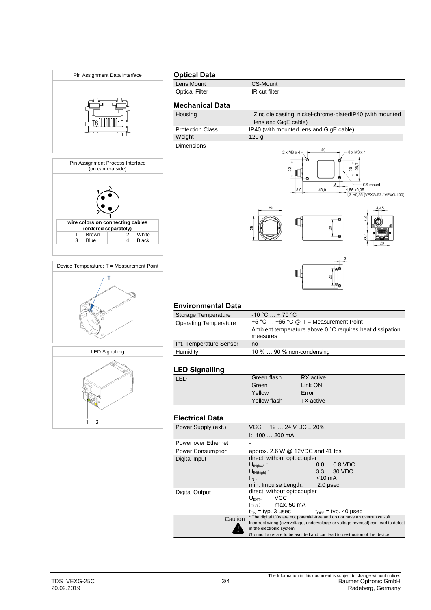